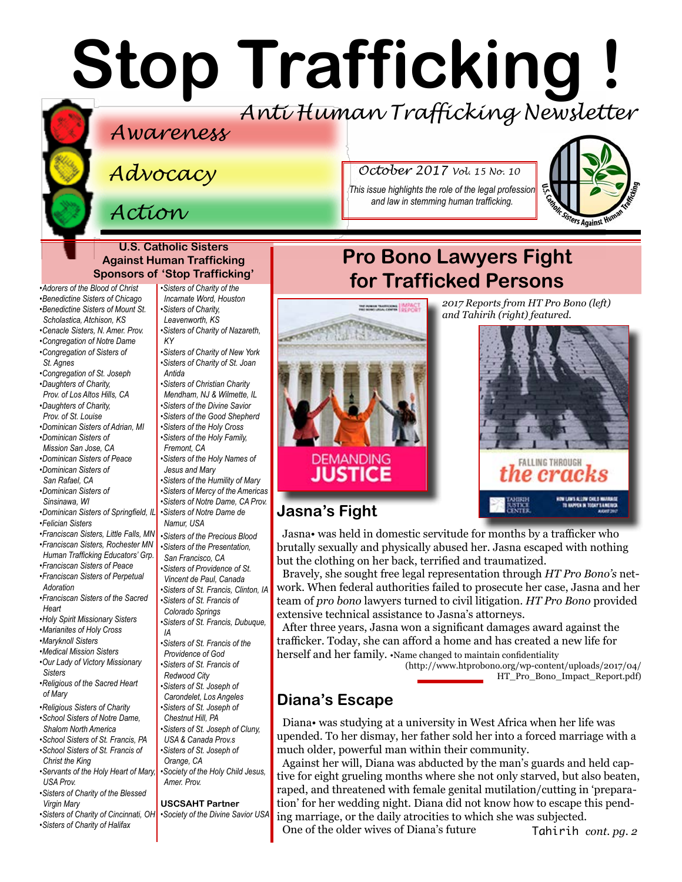# **Stop Trafficking !** *Anti Human Trafficking Newsletter*

## *Awareness*

*Advocacy*

# *Action*

#### **U.S. Catholic Sisters Against Human Trafficking Sponsors of 'Stop Trafficking'**

*•[Adorers of the Blood of Christ](http://www.adorers.org/)  [•Benedictine Sisters of Chicago](http://www.osbchicago.org/index.htm)  [•Benedictine Sisters of Mount St.](http://www.mountosb.org/)  [Scholastica](http://www.mountosb.org/), Atchison, KS*

- *•[Cenacle Sisters, N. Amer. Prov.](http://www.cenaclesisters.org/)*
- *[•Congregation of Notre Dame](http://www.cnd-m.org/en/justice/index.php)*
- *•[Congregation of Sisters of](http://www.csasisters.org/)  [St. Agnes](http://www.csasisters.org/)*
- *•[Congregation of St. Joseph](https://www.csjoseph.org/)*
- *•[Daughters of Charity,](http://www.daughtersofcharity.com)*
- *[Prov. of](http://www.daughtersofcharity.com) Los Altos Hills, CA •[Daughters of Charity,](http://www.thedaughtersofcharity.org/)*
- *[Prov. of St. Louise](http://www.thedaughtersofcharity.org/) •[Dominican Sisters of Adrian, MI](http://www.adriandominicans.org/)*
- *[•Dominican Sisters of](https://www.msjdominicans.org/)  [Mission San Jose, CA](https://www.msjdominicans.org/)*
- *•[Dominican Sisters of Peace](http://www.oppeace.org)  •[Dominican Sisters of](http://sanrafaelop.org/)*
- *[San Rafael, CA](http://sanrafaelop.org/)*
- *[•Dominican Sisters of](http://www.sinsinawa.org/)  [Sinsinawa, WI](http://www.sinsinawa.org/)*
- *•[Dominican Sisters of Springfield, IL](http://springfieldop.org/)*
- *•[Felician Sisters](http://feliciansisters.org/)*
- *•[Franciscan Sisters, Little Falls, MN](http://www.fslf.org/)*
- *[•Franciscan Sisters, Rochester MN](https://www.rochesterfranciscan.org/what-we-do/justice-and-peace/human-rights-issues.html)*
- *[Human Trafficking Educators' Grp.](https://www.rochesterfranciscan.org/what-we-do/justice-and-peace/human-rights-issues.html) [•Franciscan Sisters of Peace](https://sites.google.com/site/fspnet2/home)*
- *[•Franciscan Sisters of Perpetual](http://www.fspa.org/content/ministries/justice-peace/partnerships)  [Adoration](http://www.fspa.org/content/ministries/justice-peace/partnerships)*
- *•[Franciscan Sisters of the Sacred](http://www.fssh.com)  [Heart](http://www.fssh.com)*
- *•[Holy Spirit Missionary Sisters](http://www.ssps-usa.org)*
- *•[Marianites of Holy Cross](http://www.marianites.org/)*
- *•[Maryknoll Sisters](https://www.maryknollsisters.org/)*
- *•[Medical Mission Sisters](http://www.medicalmissionsisters.org/) [•Our Lady of Victory Missionary](http://www.olvm.org)  [Sisters](http://www.olvm.org)*
- *[•Religious of the Sacred Heart](http://www.rshm.org/)  [of Mary](http://www.rshm.org/)*
- *[•Religious Sisters of Charity](http://www.rsccaritas.ie/)  [•School Sisters of Notre Dame,](http://www.ssnd.org)*
- *[Shalom North America](http://www.ssnd.org)  [•School Sisters of St. Francis, PA](http://www.schoolsistersosf.org/)*
- *•[School Sisters of St. Francis of](http://www.lemontfranciscans.org)  [Christ the King](http://www.lemontfranciscans.org)*
- *•[Servants of the Holy Heart of Mary,](http://www.sscm-usa.org/)  [USA Prov.](http://www.sscm-usa.org/) [•Sisters of Charity of the Blessed](http://www.bvmcong.org/)*
- *[Virgin Mary](http://www.bvmcong.org/)*
- *[•Sisters of Charity of Cincinnati, OH](http://www.srcharitycinti.org/)*
- *[•Sisters of Charity of the](http://www.sistersofcharity.org/)  [Incarnate Word, Houston](http://www.sistersofcharity.org/) [•Sisters of Charity,](http://www.scls.org/)* 
	- *[Leavenworth, KS](http://www.scls.org/)*
	- *[•Sisters of Charity of Nazareth,](http://www.scnfamily.org/)  [KY](http://www.scnfamily.org/)*
	- *[•Sisters of Charity of New York](http://scny.org/)  •[Sisters of Charity of St. Joan](http://www.suoredellacarita.org/)*
	- *[Antida](http://www.suoredellacarita.org/) •Sisters of Christian Charity*
	- *[Mendham, NJ](http://www.scceast.org) [& Wilmette, IL](http://www.sccwilmette.org)*
	- *[•Sisters of the Divine Savior](http://www.sccwilmette.org) •[Sisters of the Good Shepherd](http://sistersofthegoodshepherd.com/)*
	- *•[Sisters of the Holy Cross](http://www.cscsisters.org/)*
	- *[•Sisters of the Holy Family,](http://www.holyfamilysisters.org/)  [Fremont, CA](http://www.holyfamilysisters.org/)*
	- *•[Sisters of the Holy Names of](http://www.snjm.org/index.php?lang=en)  [Jesus and Mary](http://www.snjm.org/index.php?lang=en)*
	- *•[Sisters of the Humility of Mary](http://www.humilityofmary.org/)*
	- *[•Sisters of Mercy of the Americas](http://www.sistersofmercy.org/)*
	- *[•Sisters of Notre Dame, CA Prov.](http://www.sndca.org/)  [•Sisters of Notre Dame de](www.sndden.org/index.html)*
	- *[Namur, USA](www.sndden.org/index.html)*
	- *•[Sisters of the Precious Blood](https://www.preciousbloodsistersdayton.org/) [•Sisters of the Presentation,](http://www.presentationsisterssf.org/)*
	- *[San Francisco, CA](http://www.presentationsisterssf.org/)  [•Sisters of Providence of St.](http://www.providence.ca)*
	- *[Vincent de Paul, Canada](http://www.providence.ca)*
	- *[•Sisters of St. Francis, Clinton, IA](http://www.clintonfranciscans.com/)  •[Sisters of St. Francis of](http://stfrancis.org/)*
	- *[Colorado Springs](http://stfrancis.org/)  •[Sisters of St. Francis, Dubuque,](http://www.osfdbq.org/)*
	- *[IA](http://www.osfdbq.org/)*
	- *[Providence of God](http://www.osfprov.org/)*
	- *•[Sisters of St. Francis of](http://www.franciscanway.org/stfrancisprovince.html)*
	-
	- *[Carondelet, Los Angeles](http://www.csjla.org)*
	- *•[Sisters of St. Joseph of](http://ssjphila.org/new/)*
	-
	- *[USA & Canada Prov.s](http://www.clunyusandcanada.org/)*
	- *•[Sisters of St. Joseph of](http://csjorange.org/)*
	-
	- *[Amer. Prov.](http://www.shcj.org/american)*

#### **USCSAHT Partner**

- *[•Society of the Divine Savior USA](http://www.salvatorians.com/)*
- *[•Sisters of Charity of Halifax](http://www.schalifax.ca/)*

**MORTANOM BEFORE** 

**STATISTICS** 

*October 2017 Vol. 15 No. 10*

*This issue highlights the role of the legal profession and law in stemming human trafficking.*



# **Pro Bono Lawyers Fight for Trafficked Persons**



Jasna• was held in domestic servitude for months by a trafficker who brutally sexually and physically abused her. Jasna escaped with nothing but the clothing on her back, terrified and traumatized.

Bravely, she sought free legal representation through *HT Pro Bono's* network. When federal authorities failed to prosecute her case, Jasna and her team of *pro bono* lawyers turned to civil litigation. *HT Pro Bono* provided extensive technical assistance to Jasna's attorneys.

After three years, Jasna won a significant damages award against the trafficker. Today, she can afford a home and has created a new life for herself and her family. •Name changed to maintain confidentiality

(http://www.htprobono.org/wp-content/uploads/2017/04/ HT\_Pro\_Bono\_Impact\_Report.pdf)

## **Diana's Escape**

**Jasna's Fight**

**DEMANDING** 

**JUSTICE** 

**CATALOG** 

Diana• was studying at a university in West Africa when her life was upended. To her dismay, her father sold her into a forced marriage with a much older, powerful man within their community.

Against her will, Diana was abducted by the man's guards and held captive for eight grueling months where she not only starved, but also beaten, raped, and threatened with female genital mutilation/cutting in 'preparation' for her wedding night. Diana did not know how to escape this pending marriage, or the daily atrocities to which she was subjected.

One of the older wives of Diana's future

Tahirih *cont. pg. 2*

*[•Sisters of St. Francis of the](http://www.osfprov.org/)  [Redwood City](http://www.franciscanway.org/stfrancisprovince.html)  [•Sisters of St. Joseph of](http://www.csjla.org)  [Chestnut Hill, PA](http://ssjphila.org/new/) [•Sisters of St. Joseph of Cluny,](http://www.clunyusandcanada.org/)  [Orange, CA](http://csjorange.org/)  [•Society of the Holy Child Jesus,](http://www.shcj.org/american)*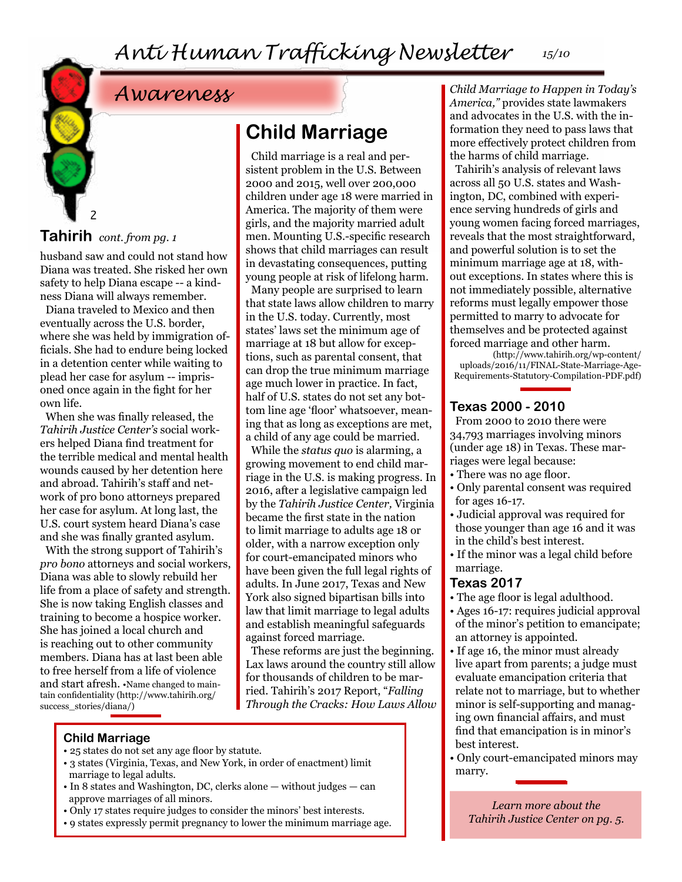# *Awareness*

## **Tahirih** *cont. from pg. 1*

2

husband saw and could not stand how Diana was treated. She risked her own safety to help Diana escape -- a kindness Diana will always remember.

Diana traveled to Mexico and then eventually across the U.S. border, where she was held by immigration officials. She had to endure being locked in a detention center while waiting to plead her case for asylum -- imprisoned once again in the fight for her own life.

When she was finally released, the *Tahirih Justice Center's* social workers helped Diana find treatment for the terrible medical and mental health wounds caused by her detention here and abroad. Tahirih's staff and network of pro bono attorneys prepared her case for asylum. At long last, the U.S. court system heard Diana's case and she was finally granted asylum.

With the strong support of Tahirih's *pro bono* attorneys and social workers, Diana was able to slowly rebuild her life from a place of safety and strength. She is now taking English classes and training to become a hospice worker. She has joined a local church and is reaching out to other community members. Diana has at last been able to free herself from a life of violence and start afresh. •Name changed to maintain confidentiality (http://www.tahirih.org/ success stories/diana/)

# **Child Marriage**

Child marriage is a real and persistent problem in the U.S. Between 2000 and 2015, well over 200,000 children under age 18 were married in America. The majority of them were girls, and the majority married adult men. Mounting U.S.-specific research shows that child marriages can result in devastating consequences, putting young people at risk of lifelong harm.

Many people are surprised to learn that state laws allow children to marry in the U.S. today. Currently, most states' laws set the minimum age of marriage at 18 but allow for exceptions, such as parental consent, that can drop the true minimum marriage age much lower in practice. In fact, half of U.S. states do not set any bottom line age 'floor' whatsoever, meaning that as long as exceptions are met, a child of any age could be married.

While the *status quo* is alarming, a growing movement to end child marriage in the U.S. is making progress. In 2016, after a legislative campaign led by the *Tahirih Justice Center,* Virginia became the first state in the nation to limit marriage to adults age 18 or older, with a narrow exception only for court-emancipated minors who have been given the full legal rights of adults. In June 2017, Texas and New York also signed bipartisan bills into law that limit marriage to legal adults and establish meaningful safeguards against forced marriage.

These reforms are just the beginning. Lax laws around the country still allow for thousands of children to be married. Tahirih's 2017 Report, "*Falling Through the Cracks: How Laws Allow* 

**Child Marriage**

- 25 states do not set any age floor by statute.
- 3 states (Virginia, Texas, and New York, in order of enactment) limit marriage to legal adults.
- In 8 states and Washington, DC, clerks alone without judges can approve marriages of all minors.
- Only 17 states require judges to consider the minors' best interests.
- 9 states expressly permit pregnancy to lower the minimum marriage age.

*Child Marriage to Happen in Today's America,"* provides state lawmakers and advocates in the U.S. with the information they need to pass laws that more effectively protect children from the harms of child marriage.

Tahirih's analysis of relevant laws across all 50 U.S. states and Washington, DC, combined with experience serving hundreds of girls and young women facing forced marriages, reveals that the most straightforward, and powerful solution is to set the minimum marriage age at 18, without exceptions. In states where this is not immediately possible, alternative reforms must legally empower those permitted to marry to advocate for themselves and be protected against forced marriage and other harm.

(http://www.tahirih.org/wp-content/ uploads/2016/11/FINAL-State-Marriage-Age-Requirements-Statutory-Compilation-PDF.pdf)

### **Texas 2000 - 2010**

From 2000 to 2010 there were 34,793 marriages involving minors (under age 18) in Texas. These marriages were legal because:

- There was no age floor.
- Only parental consent was required for ages 16-17.
- Judicial approval was required for those younger than age 16 and it was in the child's best interest.
- If the minor was a legal child before marriage.

### **Texas 2017**

- The age floor is legal adulthood.
- Ages 16-17: requires judicial approval of the minor's petition to emancipate; an attorney is appointed.
- If age 16, the minor must already live apart from parents; a judge must evaluate emancipation criteria that relate not to marriage, but to whether minor is self-supporting and managing own financial affairs, and must find that emancipation is in minor's best interest.
- Only court-emancipated minors may marry.

*Learn more about the Tahirih Justice Center on pg. 5.*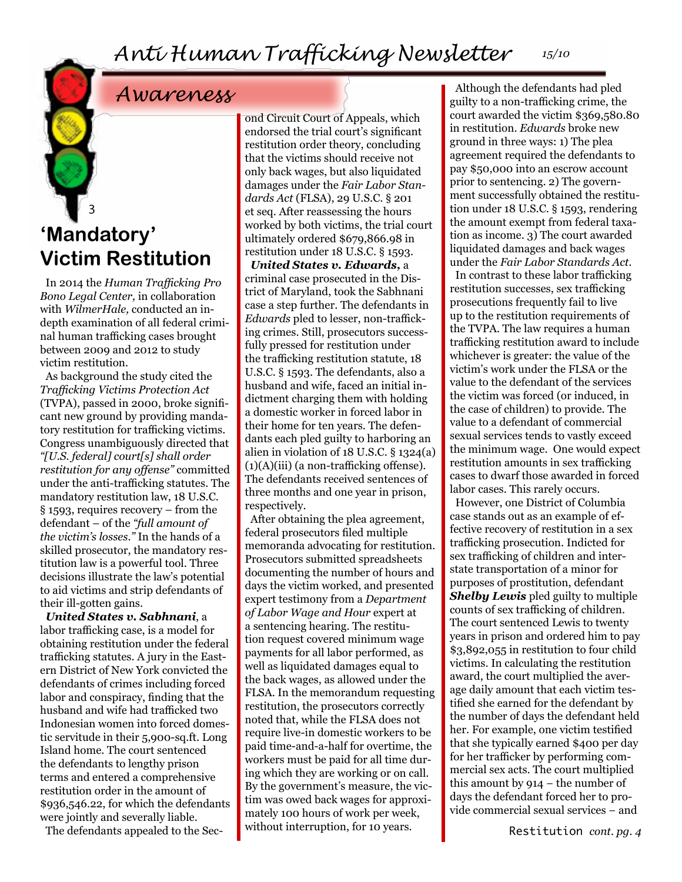# *Awareness*

## 3 **'Mandatory' Victim Restitution**

In 2014 the *Human Trafficking Pro Bono Legal Center,* in collaboration with *WilmerHale,* conducted an indepth examination of all federal criminal human trafficking cases brought between 2009 and 2012 to study victim restitution.

As background the study cited the *Trafficking Victims Protection Act* (TVPA), passed in 2000, broke significant new ground by providing mandatory restitution for trafficking victims. Congress unambiguously directed that *"[U.S. federal] court[s] shall order restitution for any offense"* committed under the anti-trafficking statutes. The mandatory restitution law, 18 U.S.C. § 1593, requires recovery – from the defendant – of the *"full amount of the victim's losses."* In the hands of a skilled prosecutor, the mandatory restitution law is a powerful tool. Three decisions illustrate the law's potential to aid victims and strip defendants of their ill-gotten gains.

*United States v. Sabhnani*, a labor trafficking case, is a model for obtaining restitution under the federal trafficking statutes. A jury in the Eastern District of New York convicted the defendants of crimes including forced labor and conspiracy, finding that the husband and wife had trafficked two Indonesian women into forced domestic servitude in their 5,900-sq.ft. Long Island home. The court sentenced the defendants to lengthy prison terms and entered a comprehensive restitution order in the amount of \$936,546.22, for which the defendants were jointly and severally liable.

The defendants appealed to the Sec-

ond Circuit Court of Appeals, which endorsed the trial court's significant restitution order theory, concluding that the victims should receive not only back wages, but also liquidated damages under the *Fair Labor Standards Act* (FLSA), 29 U.S.C. § 201 et seq. After reassessing the hours worked by both victims, the trial court ultimately ordered \$679,866.98 in restitution under 18 U.S.C. § 1593.

*United States v. Edwards,* a criminal case prosecuted in the District of Maryland, took the Sabhnani case a step further. The defendants in *Edwards* pled to lesser, non-trafficking crimes. Still, prosecutors successfully pressed for restitution under the trafficking restitution statute, 18 U.S.C. § 1593. The defendants, also a husband and wife, faced an initial indictment charging them with holding a domestic worker in forced labor in their home for ten years. The defendants each pled guilty to harboring an alien in violation of 18 U.S.C. § 1324(a)  $(1)(A)(iii)$  (a non-trafficking offense). The defendants received sentences of three months and one year in prison, respectively.

After obtaining the plea agreement, federal prosecutors filed multiple memoranda advocating for restitution. Prosecutors submitted spreadsheets documenting the number of hours and days the victim worked, and presented expert testimony from a *Department of Labor Wage and Hour* expert at a sentencing hearing. The restitution request covered minimum wage payments for all labor performed, as well as liquidated damages equal to the back wages, as allowed under the FLSA. In the memorandum requesting restitution, the prosecutors correctly noted that, while the FLSA does not require live-in domestic workers to be paid time-and-a-half for overtime, the workers must be paid for all time during which they are working or on call. By the government's measure, the victim was owed back wages for approximately 100 hours of work per week, without interruption, for 10 years.

Although the defendants had pled guilty to a non-trafficking crime, the court awarded the victim \$369,580.80 in restitution. *Edwards* broke new ground in three ways: 1) The plea agreement required the defendants to pay \$50,000 into an escrow account prior to sentencing. 2) The government successfully obtained the restitution under 18 U.S.C. § 1593, rendering the amount exempt from federal taxation as income. 3) The court awarded liquidated damages and back wages under the *Fair Labor Standards Act*.

In contrast to these labor trafficking restitution successes, sex trafficking prosecutions frequently fail to live up to the restitution requirements of the TVPA. The law requires a human trafficking restitution award to include whichever is greater: the value of the victim's work under the FLSA or the value to the defendant of the services the victim was forced (or induced, in the case of children) to provide. The value to a defendant of commercial sexual services tends to vastly exceed the minimum wage. One would expect restitution amounts in sex trafficking cases to dwarf those awarded in forced labor cases. This rarely occurs.

However, one District of Columbia case stands out as an example of effective recovery of restitution in a sex trafficking prosecution. Indicted for sex trafficking of children and interstate transportation of a minor for purposes of prostitution, defendant *Shelby Lewis* pled guilty to multiple counts of sex trafficking of children. The court sentenced Lewis to twenty years in prison and ordered him to pay \$3,892,055 in restitution to four child victims. In calculating the restitution award, the court multiplied the average daily amount that each victim testified she earned for the defendant by the number of days the defendant held her. For example, one victim testified that she typically earned \$400 per day for her trafficker by performing commercial sex acts. The court multiplied this amount by 914 − the number of days the defendant forced her to provide commercial sexual services − and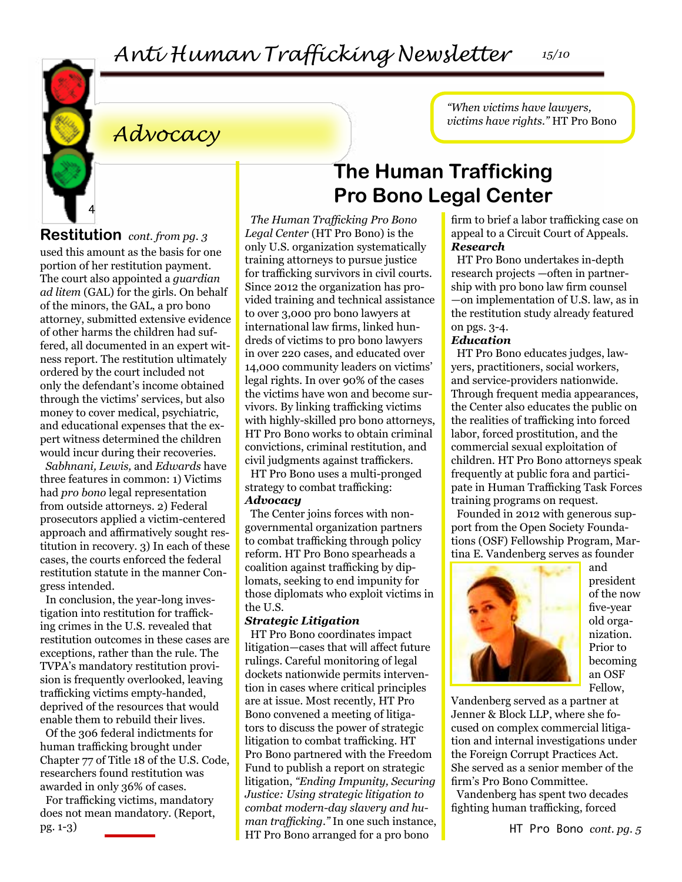# *Anti Human Trafficking Newsletter 15/10*



*Advocacy*

**Restitution** *cont. from pg. 3*

used this amount as the basis for one portion of her restitution payment. The court also appointed a *guardian ad litem* (GAL) for the girls. On behalf of the minors, the GAL, a pro bono attorney, submitted extensive evidence of other harms the children had suffered, all documented in an expert witness report. The restitution ultimately ordered by the court included not only the defendant's income obtained through the victims' services, but also money to cover medical, psychiatric, and educational expenses that the expert witness determined the children would incur during their recoveries.

*Sabhnani, Lewis,* and *Edwards* have three features in common: 1) Victims had *pro bono* legal representation from outside attorneys. 2) Federal prosecutors applied a victim-centered approach and affirmatively sought restitution in recovery. 3) In each of these cases, the courts enforced the federal restitution statute in the manner Congress intended.

In conclusion, the year-long investigation into restitution for trafficking crimes in the U.S. revealed that restitution outcomes in these cases are exceptions, rather than the rule. The TVPA's mandatory restitution provision is frequently overlooked, leaving trafficking victims empty-handed, deprived of the resources that would enable them to rebuild their lives.

Of the 306 federal indictments for human trafficking brought under Chapter 77 of Title 18 of the U.S. Code, researchers found restitution was awarded in only 36% of cases.

For trafficking victims, mandatory does not mean mandatory. (Report, pg. 1-3)

# **The Human Trafficking Pro Bono Legal Center**

*The Human Trafficking Pro Bono Legal Center* (HT Pro Bono) is the only U.S. organization systematically training attorneys to pursue justice for trafficking survivors in civil courts. Since 2012 the organization has provided training and technical assistance to over 3,000 pro bono lawyers at international law firms, linked hundreds of victims to pro bono lawyers in over 220 cases, and educated over 14,000 community leaders on victims' legal rights. In over 90% of the cases the victims have won and become survivors. By linking trafficking victims with highly-skilled pro bono attorneys, HT Pro Bono works to obtain criminal convictions, criminal restitution, and civil judgments against traffickers.

HT Pro Bono uses a multi-pronged strategy to combat trafficking: *Advocacy*

The Center joins forces with nongovernmental organization partners to combat trafficking through policy reform. HT Pro Bono spearheads a coalition against trafficking by diplomats, seeking to end impunity for those diplomats who exploit victims in the U.S.

#### *Strategic Litigation*

HT Pro Bono coordinates impact litigation—cases that will affect future rulings. Careful monitoring of legal dockets nationwide permits intervention in cases where critical principles are at issue. Most recently, HT Pro Bono convened a meeting of litigators to discuss the power of strategic litigation to combat trafficking. HT Pro Bono partnered with the Freedom Fund to publish a report on strategic litigation, *"Ending Impunity, Securing Justice: Using strategic litigation to combat modern-day slavery and human trafficking."* In one such instance, HT Pro Bono arranged for a pro bono

firm to brief a labor trafficking case on appeal to a Circuit Court of Appeals. *Research*

*"When victims have lawyers, victims have rights."* HT Pro Bono

HT Pro Bono undertakes in-depth research projects —often in partnership with pro bono law firm counsel —on implementation of U.S. law, as in the restitution study already featured on pgs. 3-4.

#### *Education*

HT Pro Bono educates judges, lawyers, practitioners, social workers, and service-providers nationwide. Through frequent media appearances, the Center also educates the public on the realities of trafficking into forced labor, forced prostitution, and the commercial sexual exploitation of children. HT Pro Bono attorneys speak frequently at public fora and participate in Human Trafficking Task Forces training programs on request.

Founded in 2012 with generous support from the Open Society Foundations (OSF) Fellowship Program, Martina E. Vandenberg serves as founder



and president of the now five-year old organization. Prior to becoming an OSF Fellow,

Vandenberg served as a partner at Jenner & Block LLP, where she focused on complex commercial litigation and internal investigations under the Foreign Corrupt Practices Act. She served as a senior member of the firm's Pro Bono Committee.

Vandenberg has spent two decades fighting human trafficking, forced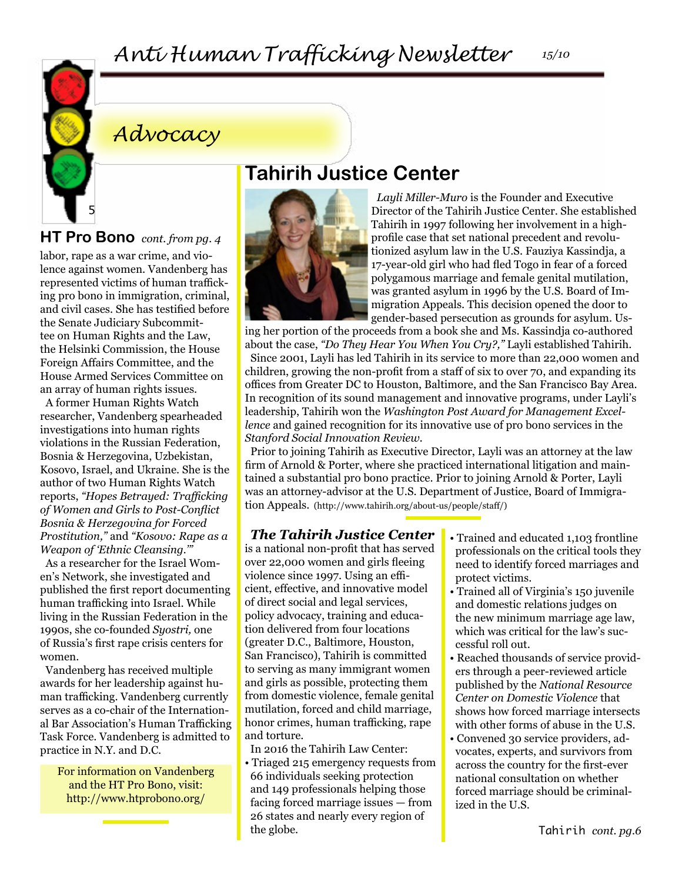

# *Advocacy*

## **HT Pro Bono** *cont. from pg. 4*

labor, rape as a war crime, and violence against women. Vandenberg has represented victims of human trafficking pro bono in immigration, criminal, and civil cases. She has testified before the Senate Judiciary Subcommittee on Human Rights and the Law, the Helsinki Commission, the House Foreign Affairs Committee, and the House Armed Services Committee on an array of human rights issues.

A former Human Rights Watch researcher, Vandenberg spearheaded investigations into human rights violations in the Russian Federation, Bosnia & Herzegovina, Uzbekistan, Kosovo, Israel, and Ukraine. She is the author of two Human Rights Watch reports, *"Hopes Betrayed: Trafficking of Women and Girls to Post-Conflict Bosnia & Herzegovina for Forced Prostitution,"* and *"Kosovo: Rape as a Weapon of 'Ethnic Cleansing.'"*

As a researcher for the Israel Women's Network, she investigated and published the first report documenting human trafficking into Israel. While living in the Russian Federation in the 1990s, she co-founded *Syostri,* one of Russia's first rape crisis centers for women.

Vandenberg has received multiple awards for her leadership against human trafficking. Vandenberg currently serves as a co-chair of the International Bar Association's Human Trafficking Task Force. Vandenberg is admitted to practice in N.Y. and D.C.

For information on Vandenberg and the HT Pro Bono, visit: http://www.htprobono.org/

# **Tahirih Justice Center**



*Layli Miller-Muro* is the Founder and Executive Director of the Tahirih Justice Center. She established Tahirih in 1997 following her involvement in a highprofile case that set national precedent and revolutionized asylum law in the U.S. Fauziya Kassindja, a 17-year-old girl who had fled Togo in fear of a forced polygamous marriage and female genital mutilation, was granted asylum in 1996 by the U.S. Board of Immigration Appeals. This decision opened the door to gender-based persecution as grounds for asylum. Us-

ing her portion of the proceeds from a book she and Ms. Kassindja co-authored about the case, *"Do They Hear You When You Cry?,"* Layli established Tahirih. Since 2001, Layli has led Tahirih in its service to more than 22,000 women and children, growing the non-profit from a staff of six to over 70, and expanding its offices from Greater DC to Houston, Baltimore, and the San Francisco Bay Area. In recognition of its sound management and innovative programs, under Layli's leadership, Tahirih won the *Washington Post Award for Management Excellence* and gained recognition for its innovative use of pro bono services in the *Stanford Social Innovation Review.*

Prior to joining Tahirih as Executive Director, Layli was an attorney at the law firm of Arnold & Porter, where she practiced international litigation and maintained a substantial pro bono practice. Prior to joining Arnold & Porter, Layli was an attorney-advisor at the U.S. Department of Justice, Board of Immigration Appeals. (http://www.tahirih.org/about-us/people/staff/)

## *The Tahirih Justice Center*

is a national non-profit that has served over 22,000 women and girls fleeing violence since 1997. Using an efficient, effective, and innovative model of direct social and legal services, policy advocacy, training and education delivered from four locations (greater D.C., Baltimore, Houston, San Francisco), Tahirih is committed to serving as many immigrant women and girls as possible, protecting them from domestic violence, female genital mutilation, forced and child marriage, honor crimes, human trafficking, rape and torture.

In 2016 the Tahirih Law Center:

• Triaged 215 emergency requests from 66 individuals seeking protection and 149 professionals helping those facing forced marriage issues — from 26 states and nearly every region of the globe.

- Trained and educated 1,103 frontline professionals on the critical tools they need to identify forced marriages and protect victims.
- Trained all of Virginia's 150 juvenile and domestic relations judges on the new minimum marriage age law, which was critical for the law's successful roll out.
- Reached thousands of service providers through a peer-reviewed article published by the *National Resource Center on Domestic Violence* that shows how forced marriage intersects with other forms of abuse in the U.S.
- Convened 30 service providers, advocates, experts, and survivors from across the country for the first-ever national consultation on whether forced marriage should be criminalized in the U.S.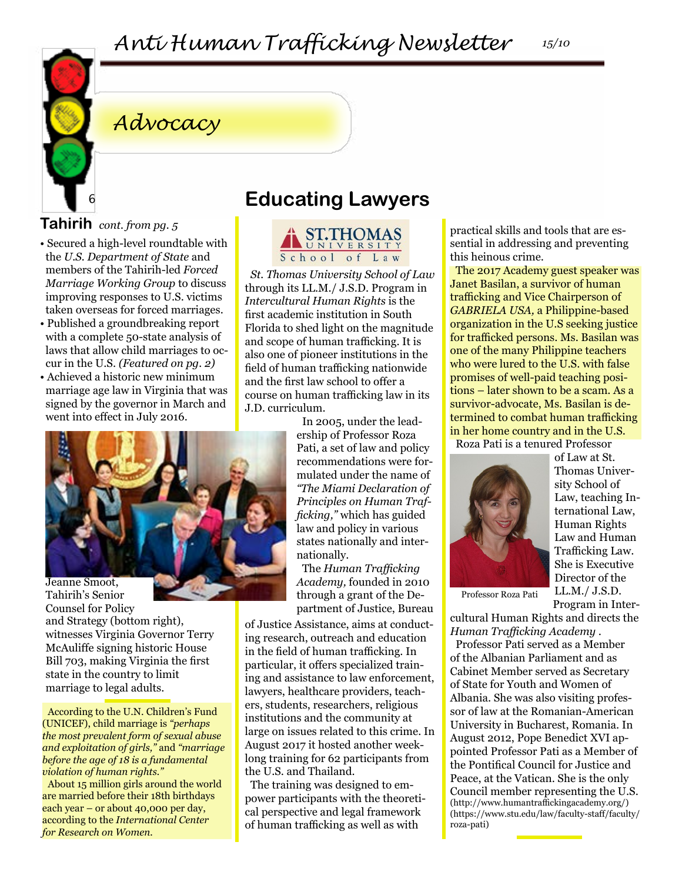# *Advocacy*

## **Tahirih** *cont. from pg. 5*

6

- Secured a high-level roundtable with the *U.S. Department of State* and members of the Tahirih-led *Forced Marriage Working Group* to discuss improving responses to U.S. victims taken overseas for forced marriages.
- Published a groundbreaking report with a complete 50-state analysis of laws that allow child marriages to occur in the U.S. *(Featured on pg. 2)*
- Achieved a historic new minimum marriage age law in Virginia that was signed by the governor in March and went into effect in July 2016.



Tahirih's Senior Counsel for Policy and Strategy (bottom right), witnesses Virginia Governor Terry McAuliffe signing historic House Bill 703, making Virginia the first state in the country to limit marriage to legal adults.

According to the U.N. Children's Fund (UNICEF), child marriage is *"perhaps the most prevalent form of sexual abuse and exploitation of girls,"* and *"marriage before the age of 18 is a fundamental violation of human rights."*

About 15 million girls around the world are married before their 18th birthdays each year – or about 40,000 per day, according to the *International Center for Research on Women.*

# **Educating Lawyers**



*St. Thomas University School of Law*  through its LL.M./ J.S.D. Program in *Intercultural Human Rights* is the first academic institution in South Florida to shed light on the magnitude and scope of human trafficking. It is also one of pioneer institutions in the field of human trafficking nationwide and the first law school to offer a course on human trafficking law in its J.D. curriculum.

In 2005, under the leadership of Professor Roza Pati, a set of law and policy recommendations were formulated under the name of *"The Miami Declaration of Principles on Human Trafficking,"* which has guided law and policy in various states nationally and internationally.

The *Human Trafficking Academy,* founded in 2010 through a grant of the Department of Justice, Bureau

of Justice Assistance, aims at conducting research, outreach and education in the field of human trafficking. In particular, it offers specialized training and assistance to law enforcement, lawyers, healthcare providers, teachers, students, researchers, religious institutions and the community at large on issues related to this crime. In August 2017 it hosted another weeklong training for 62 participants from the U.S. and Thailand.

The training was designed to empower participants with the theoretical perspective and legal framework of human trafficking as well as with

practical skills and tools that are essential in addressing and preventing this heinous crime.

The 2017 Academy guest speaker was Janet Basilan, a survivor of human trafficking and Vice Chairperson of *GABRIELA USA,* a Philippine-based organization in the U.S seeking justice for trafficked persons. Ms. Basilan was one of the many Philippine teachers who were lured to the U.S. with false promises of well-paid teaching positions – later shown to be a scam. As a survivor-advocate, Ms. Basilan is determined to combat human trafficking in her home country and in the U.S. Roza Pati is a tenured Professor



of Law at St. Thomas University School of Law, teaching International Law, Human Rights Law and Human Trafficking Law. She is Executive Director of the LL.M./ J.S.D. Program in Inter-

Professor Roza Pati

cultural Human Rights and directs the *Human Trafficking Academy* .

Professor Pati served as a Member of the Albanian Parliament and as Cabinet Member served as Secretary of State for Youth and Women of Albania. She was also visiting professor of law at the Romanian-American University in Bucharest, Romania. In August 2012, Pope Benedict XVI appointed Professor Pati as a Member of the Pontifical Council for Justice and Peace, at the Vatican. She is the only Council member representing the U.S. (http://www.humantraffickingacademy.org/) (https://www.stu.edu/law/faculty-staff/faculty/ roza-pati)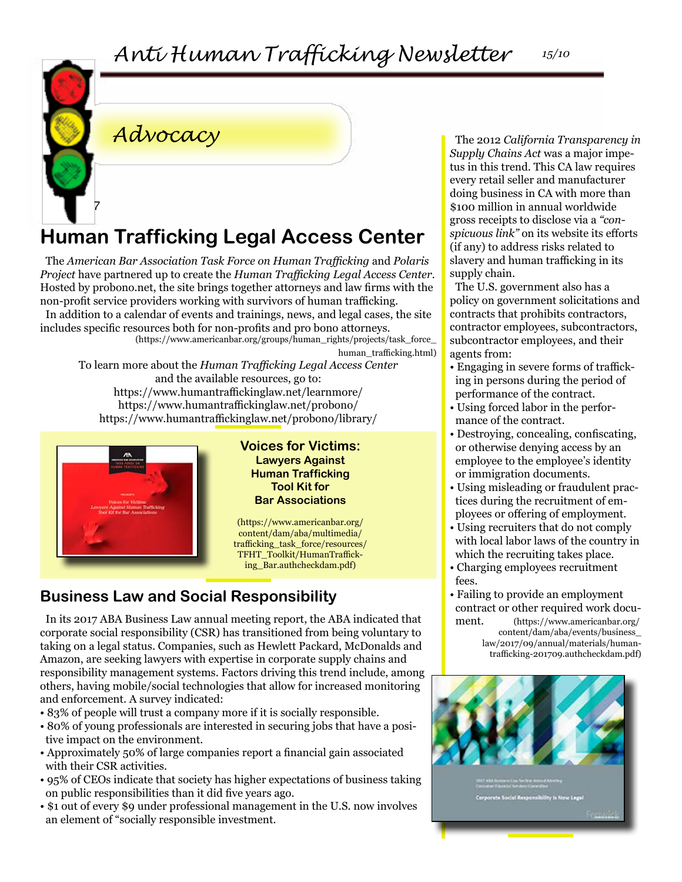# *Advocacy*

7

# **Human Trafficking Legal Access Center**

The *American Bar Association Task Force on Human Trafficking* and *Polaris Project* have partnered up to create the *Human Trafficking Legal Access Center.*  Hosted by probono.net, the site brings together attorneys and law firms with the non-profit service providers working with survivors of human trafficking. In addition to a calendar of events and trainings, news, and legal cases, the site includes specific resources both for non-profits and pro bono attorneys. (https://www.americanbar.org/groups/human\_rights/projects/task\_force\_

human\_trafficking.html)

To learn more about the *Human Trafficking Legal Access Center* and the available resources, go to: https://www.humantraffickinglaw.net/learnmore/ https://www.humantraffickinglaw.net/probono/ https://www.humantraffickinglaw.net/probono/library/



**Voices for Victims: Lawyers Against Human Trafficking Tool Kit for Bar Associations**

(https://www.americanbar.org/ content/dam/aba/multimedia/ trafficking\_task\_force/resources/ TFHT\_Toolkit/HumanTrafficking\_Bar.authcheckdam.pdf)

## **Business Law and Social Responsibility**

In its 2017 ABA Business Law annual meeting report, the ABA indicated that corporate social responsibility (CSR) has transitioned from being voluntary to taking on a legal status. Companies, such as Hewlett Packard, McDonalds and Amazon, are seeking lawyers with expertise in corporate supply chains and responsibility management systems. Factors driving this trend include, among others, having mobile/social technologies that allow for increased monitoring and enforcement. A survey indicated:

- 83% of people will trust a company more if it is socially responsible.
- 80% of young professionals are interested in securing jobs that have a positive impact on the environment.
- Approximately 50% of large companies report a financial gain associated with their CSR activities.
- 95% of CEOs indicate that society has higher expectations of business taking on public responsibilities than it did five years ago.
- \$1 out of every \$9 under professional management in the U.S. now involves an element of "socially responsible investment.

The 2012 *California Transparency in Supply Chains Act* was a major impetus in this trend. This CA law requires every retail seller and manufacturer doing business in CA with more than \$100 million in annual worldwide gross receipts to disclose via a *"conspicuous link"* on its website its efforts (if any) to address risks related to slavery and human trafficking in its supply chain.

The U.S. government also has a policy on government solicitations and contracts that prohibits contractors, contractor employees, subcontractors, subcontractor employees, and their agents from:

- Engaging in severe forms of trafficking in persons during the period of performance of the contract.
- Using forced labor in the performance of the contract.
- Destroying, concealing, confiscating, or otherwise denying access by an employee to the employee's identity or immigration documents.
- Using misleading or fraudulent practices during the recruitment of employees or offering of employment.
- Using recruiters that do not comply with local labor laws of the country in which the recruiting takes place.
- Charging employees recruitment fees.
- Failing to provide an employment contract or other required work document. (https://www.americanbar.org/ content/dam/aba/events/business\_
	- law/2017/09/annual/materials/humantrafficking-201709.authcheckdam.pdf)

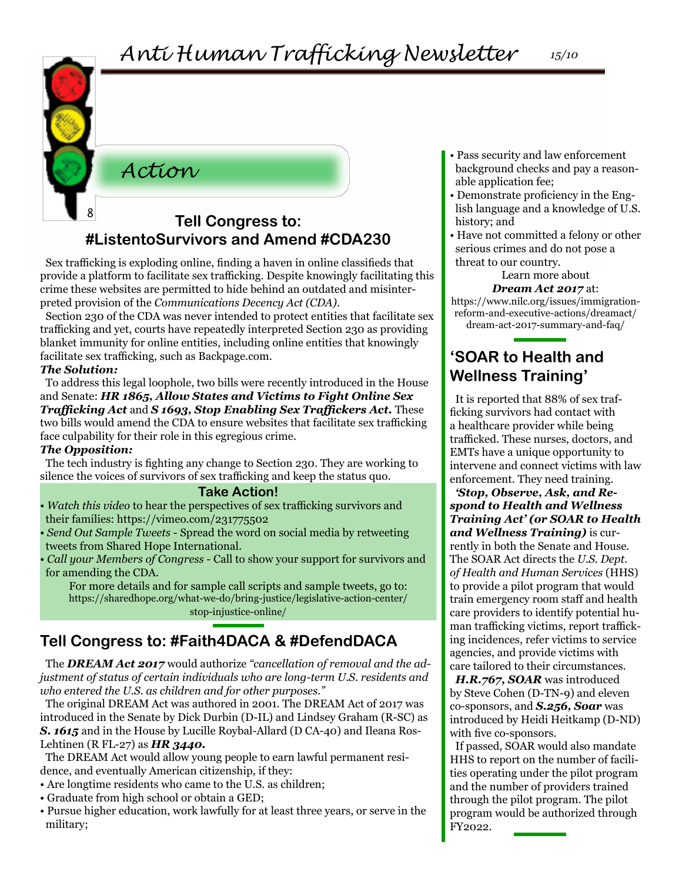## *Action*

## <sup>8</sup> **Tell Congress to: #ListentoSurvivors and Amend #CDA230**

Sex trafficking is exploding online, finding a haven in online classifieds that provide a platform to facilitate sex trafficking. Despite knowingly facilitating this crime these websites are permitted to hide behind an outdated and misinterpreted provision of the *Communications Decency Act (CDA)*.

Section 230 of the CDA was never intended to protect entities that facilitate sex trafficking and yet, courts have repeatedly interpreted Section 230 as providing blanket immunity for online entities, including online entities that knowingly facilitate sex trafficking, such as Backpage.com.

#### *The Solution:*

To address this legal loophole, two bills were recently introduced in the House and Senate: *HR 1865, Allow States and Victims to Fight Online Sex Trafficking Act* and *S 1693, Stop Enabling Sex Traffickers Act.* These two bills would amend the CDA to ensure websites that facilitate sex trafficking face culpability for their role in this egregious crime.

#### *The Opposition:*

The tech industry is fighting any change to Section 230. They are working to silence the voices of survivors of sex trafficking and keep the status quo.

#### **Take Action!**

*• Watch this video* to hear the perspectives of sex trafficking survivors and their families: https://vimeo.com/231775502

*• Send Out Sample Tweets* - Spread the word on social media by retweeting tweets from Shared Hope International.

*• Call your Members of Congress* - Call to show your support for survivors and for amending the CDA.

For more details and for sample call scripts and sample tweets, go to: [https://sharedhope.org/what-we-do/bring-justice/legislative-action-center/](https://sharedhope.org/what-we-do/bring-justice/legislative-action-center/stop-injustice-online/ ) [stop-injustice-online/](https://sharedhope.org/what-we-do/bring-justice/legislative-action-center/stop-injustice-online/ )

## **Tell Congress to: #Faith4DACA & #DefendDACA**

The *DREAM Act 2017* would authorize *"cancellation of removal and the adjustment of status of certain individuals who are long-term U.S. residents and who entered the U.S. as children and for other purposes."*

The original DREAM Act was authored in 2001. The DREAM Act of 2017 was introduced in the Senate by Dick Durbin (D-IL) and Lindsey Graham (R-SC) as **S. 1615** and in the House by Lucille Roybal-Allard (D CA-40) and Ileana Ros-Lehtinen (R FL-27) as *HR 3440.*

The DREAM Act would allow young people to earn lawful permanent residence, and eventually American citizenship, if they:

- Are longtime residents who came to the U.S. as children;
- Graduate from high school or obtain a GED;
- Pursue higher education, work lawfully for at least three years, or serve in the military;
- Pass security and law enforcement background checks and pay a reasonable application fee;
- Demonstrate proficiency in the English language and a knowledge of U.S. history; and
- Have not committed a felony or other serious crimes and do not pose a threat to our country.

## Learn more about

*Dream Act 2017* at: [https://www.nilc.org/issues/immigration](https://www.nilc.org/issues/immigration-reform-and-executive-actions/dreamact/dream-act-2017-summary)[reform-and-executive-actions/dreamact/](https://www.nilc.org/issues/immigration-reform-and-executive-actions/dreamact/dream-act-2017-summary) [dream-act-2017-summary-and-faq/](https://www.nilc.org/issues/immigration-reform-and-executive-actions/dreamact/dream-act-2017-summary)

## **'SOAR to Health and Wellness Training'**

It is reported that 88% of sex trafficking survivors had contact with a healthcare provider while being trafficked. These nurses, doctors, and EMTs have a unique opportunity to intervene and connect victims with law enforcement. They need training.

*'Stop, Observe, Ask, and Respond to Health and Wellness Training Act' (or SOAR to Health and Wellness Training)* is currently in both the Senate and House. The SOAR Act directs the *U.S. Dept. of Health and Human Services* (HHS) to provide a pilot program that would train emergency room staff and health care providers to identify potential human trafficking victims, report trafficking incidences, refer victims to service agencies, and provide victims with care tailored to their circumstances.

*H.R.767, SOAR* was introduced by Steve Cohen (D-TN-9) and eleven co-sponsors, and *S.256, Soar* was introduced by Heidi Heitkamp (D-ND) with five co-sponsors.

If passed, SOAR would also mandate HHS to report on the number of facilities operating under the pilot program and the number of providers trained through the pilot program. The pilot program would be authorized through FY2022.